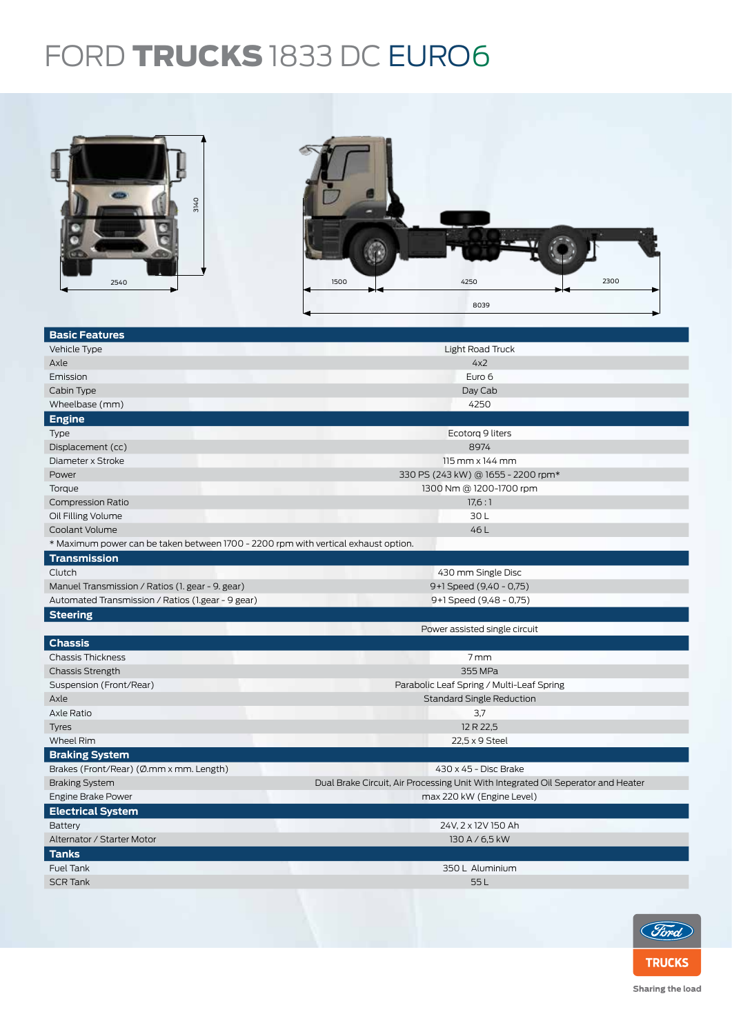## FORD TRUCKS 1833 DC EURO6



| <b>Basic Features</b>                                                              |                                                                                  |  |  |  |  |
|------------------------------------------------------------------------------------|----------------------------------------------------------------------------------|--|--|--|--|
| Vehicle Type                                                                       | Light Road Truck                                                                 |  |  |  |  |
| Axle                                                                               | 4x2                                                                              |  |  |  |  |
| Emission                                                                           | Euro 6                                                                           |  |  |  |  |
| Cabin Type                                                                         | Day Cab                                                                          |  |  |  |  |
| Wheelbase (mm)                                                                     | 4250                                                                             |  |  |  |  |
| <b>Engine</b>                                                                      |                                                                                  |  |  |  |  |
| Type                                                                               | Ecotorg 9 liters                                                                 |  |  |  |  |
| Displacement (cc)                                                                  | 8974                                                                             |  |  |  |  |
| Diameter x Stroke                                                                  | 115 mm x 144 mm                                                                  |  |  |  |  |
| Power                                                                              | 330 PS (243 kW) @ 1655 - 2200 rpm*                                               |  |  |  |  |
| Torque                                                                             | 1300 Nm @ 1200-1700 rpm                                                          |  |  |  |  |
| <b>Compression Ratio</b>                                                           | 17,6:1                                                                           |  |  |  |  |
| Oil Filling Volume                                                                 | 30L                                                                              |  |  |  |  |
| Coolant Volume                                                                     | 46L                                                                              |  |  |  |  |
| * Maximum power can be taken between 1700 - 2200 rpm with vertical exhaust option. |                                                                                  |  |  |  |  |
| <b>Transmission</b>                                                                |                                                                                  |  |  |  |  |
| Clutch                                                                             | 430 mm Single Disc                                                               |  |  |  |  |
| Manuel Transmission / Ratios (1. gear - 9. gear)                                   | 9+1 Speed (9,40 - 0,75)                                                          |  |  |  |  |
| Automated Transmission / Ratios (1.gear - 9 gear)                                  | 9+1 Speed (9,48 - 0,75)                                                          |  |  |  |  |
|                                                                                    |                                                                                  |  |  |  |  |
| <b>Steering</b>                                                                    |                                                                                  |  |  |  |  |
|                                                                                    | Power assisted single circuit                                                    |  |  |  |  |
| <b>Chassis</b>                                                                     |                                                                                  |  |  |  |  |
| <b>Chassis Thickness</b>                                                           | 7mm                                                                              |  |  |  |  |
| <b>Chassis Strength</b>                                                            | 355 MPa                                                                          |  |  |  |  |
| Suspension (Front/Rear)                                                            | Parabolic Leaf Spring / Multi-Leaf Spring                                        |  |  |  |  |
| Axle                                                                               | <b>Standard Single Reduction</b>                                                 |  |  |  |  |
| Axle Ratio                                                                         | 3,7                                                                              |  |  |  |  |
| <b>Tyres</b>                                                                       | 12 R 22,5                                                                        |  |  |  |  |
| <b>Wheel Rim</b>                                                                   | 22,5 x 9 Steel                                                                   |  |  |  |  |
| <b>Braking System</b>                                                              |                                                                                  |  |  |  |  |
| Brakes (Front/Rear) (Ø.mm x mm. Length)                                            | 430 x 45 - Disc Brake                                                            |  |  |  |  |
| <b>Braking System</b>                                                              | Dual Brake Circuit, Air Processing Unit With Integrated Oil Seperator and Heater |  |  |  |  |
| Engine Brake Power                                                                 | max 220 kW (Engine Level)                                                        |  |  |  |  |
| <b>Electrical System</b>                                                           |                                                                                  |  |  |  |  |
| Battery                                                                            | 24V, 2 x 12V 150 Ah                                                              |  |  |  |  |
| Alternator / Starter Motor                                                         | 130 A / 6,5 kW                                                                   |  |  |  |  |
| <b>Tanks</b>                                                                       |                                                                                  |  |  |  |  |
| Fuel Tank                                                                          | 350 L Aluminium                                                                  |  |  |  |  |
| <b>SCR Tank</b>                                                                    | 55L                                                                              |  |  |  |  |



Sharing the load